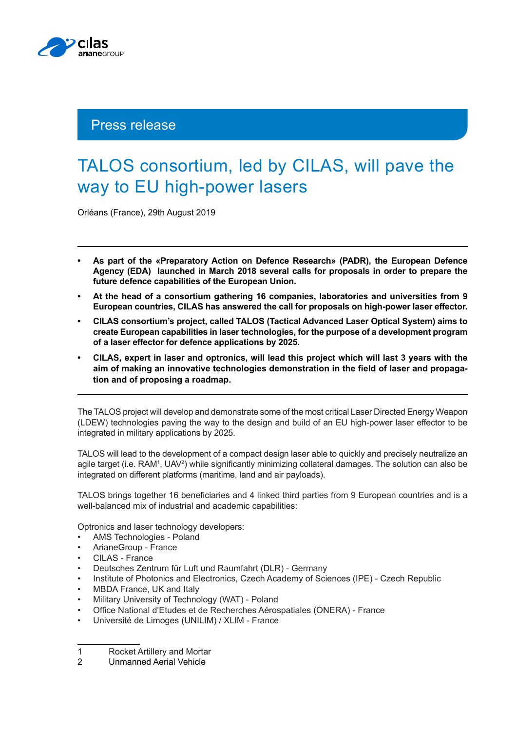

## Press release

## TALOS consortium, led by CILAS, will pave the way to EU high-power lasers

Orléans (France), 29th August 2019

- **• As part of the «Preparatory Action on Defence Research» (PADR), the European Defence Agency (EDA) launched in March 2018 several calls for proposals in order to prepare the future defence capabilities of the European Union.**
- **• At the head of a consortium gathering 16 companies, laboratories and universities from 9 European countries, CILAS has answered the call for proposals on high-power laser effector.**
- **• CILAS consortium's project, called TALOS (Tactical Advanced Laser Optical System) aims to create European capabilities in laser technologies, for the purpose of a development program of a laser effector for defence applications by 2025.**
- **• CILAS, expert in laser and optronics, will lead this project which will last 3 years with the aim of making an innovative technologies demonstration in the field of laser and propagation and of proposing a roadmap.**

The TALOS project will develop and demonstrate some of the most critical Laser Directed Energy Weapon (LDEW) technologies paving the way to the design and build of an EU high-power laser effector to be integrated in military applications by 2025.

TALOS will lead to the development of a compact design laser able to quickly and precisely neutralize an agile target (i.e. RAM<sup>1</sup>, UAV<sup>2</sup>) while significantly minimizing collateral damages. The solution can also be integrated on different platforms (maritime, land and air payloads).

TALOS brings together 16 beneficiaries and 4 linked third parties from 9 European countries and is a well-balanced mix of industrial and academic capabilities:

Optronics and laser technology developers:

- AMS Technologies Poland
- ArianeGroup France
- CILAS France
- Deutsches Zentrum für Luft und Raumfahrt (DLR) Germany
- Institute of Photonics and Electronics, Czech Academy of Sciences (IPE) Czech Republic
- MBDA France, UK and Italy
- Military University of Technology (WAT) Poland
- Office National d'Etudes et de Recherches Aérospatiales (ONERA) France
- Université de Limoges (UNILIM) / XLIM France

<sup>1</sup> Rocket Artillery and Mortar<br>2 Unmanned Aerial Vehicle

<sup>2</sup> Unmanned Aerial Vehicle